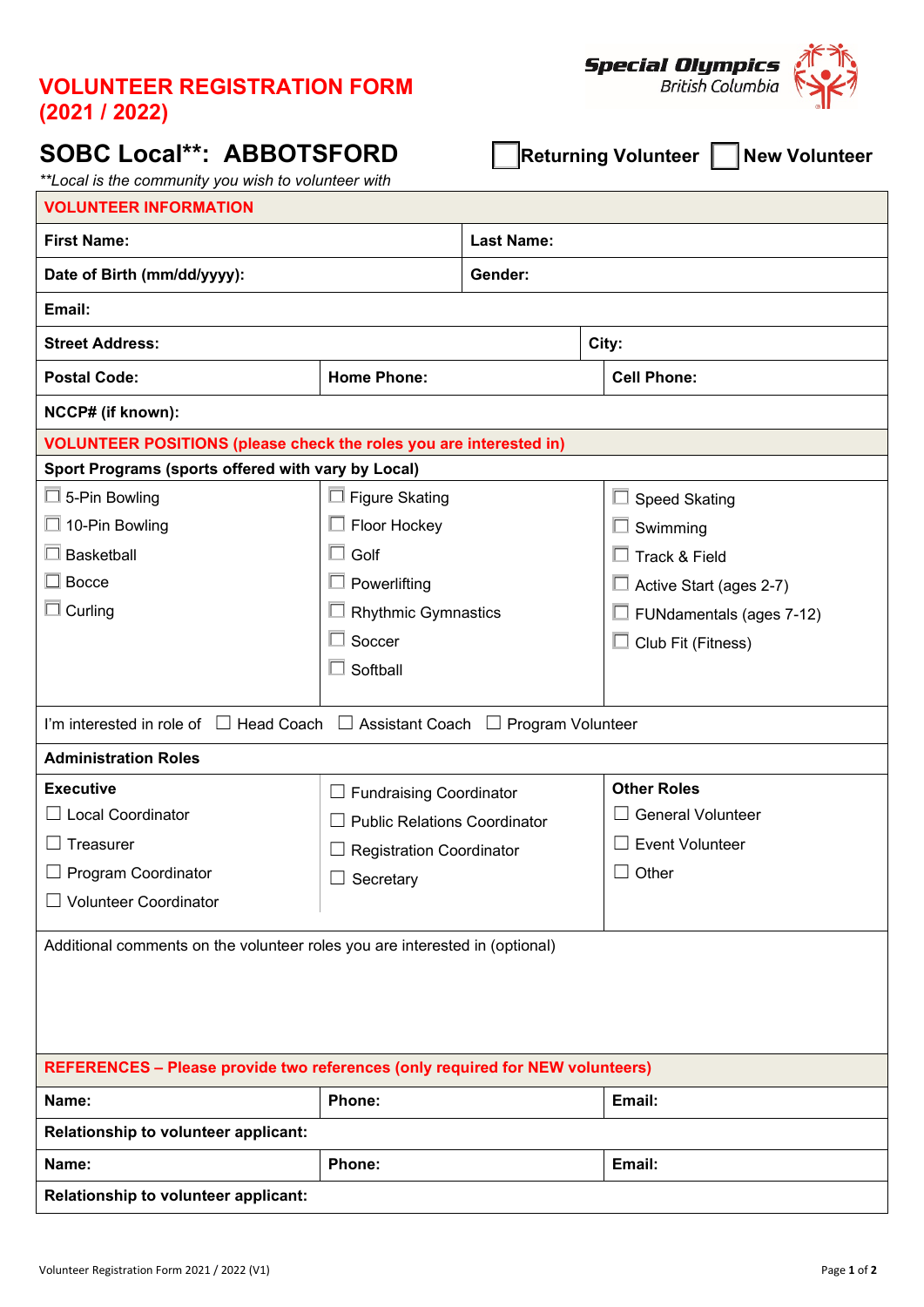## **VOLUNTEER REGISTRATION FORM (2021 / 2022)**

## **SOBC Local\*\*: ABBOTSFORD** ☐ **Returning Volunteer** ☐ **New Volunteer**

**Special Olympics**<br>British Columbia

*\*\*Local is the community you wish to volunteer with*

| <b>VOLUNTEER INFORMATION</b>                                                                |                                     |                   |                           |  |  |  |  |
|---------------------------------------------------------------------------------------------|-------------------------------------|-------------------|---------------------------|--|--|--|--|
| <b>First Name:</b>                                                                          |                                     | <b>Last Name:</b> |                           |  |  |  |  |
| Date of Birth (mm/dd/yyyy):                                                                 |                                     | Gender:           |                           |  |  |  |  |
| Email:                                                                                      |                                     |                   |                           |  |  |  |  |
| <b>Street Address:</b>                                                                      |                                     | City:             |                           |  |  |  |  |
| <b>Postal Code:</b>                                                                         | <b>Home Phone:</b>                  |                   | <b>Cell Phone:</b>        |  |  |  |  |
| NCCP# (if known):                                                                           |                                     |                   |                           |  |  |  |  |
| <b>VOLUNTEER POSITIONS (please check the roles you are interested in)</b>                   |                                     |                   |                           |  |  |  |  |
| Sport Programs (sports offered with vary by Local)                                          |                                     |                   |                           |  |  |  |  |
| $\Box$ 5-Pin Bowling                                                                        | $\square$ Figure Skating            |                   | <b>Speed Skating</b><br>ப |  |  |  |  |
| $\Box$ 10-Pin Bowling                                                                       | Floor Hockey                        |                   | Swimming                  |  |  |  |  |
| $\square$ Basketball                                                                        | Golf<br>П                           |                   | Track & Field             |  |  |  |  |
| $\Box$ Bocce                                                                                | $\Box$ Powerlifting                 |                   | Active Start (ages 2-7)   |  |  |  |  |
| $\Box$ Curling                                                                              | <b>Rhythmic Gymnastics</b>          |                   | FUNdamentals (ages 7-12)  |  |  |  |  |
|                                                                                             | П<br>Soccer                         |                   | Club Fit (Fitness)<br>◻   |  |  |  |  |
|                                                                                             | Softball                            |                   |                           |  |  |  |  |
|                                                                                             |                                     |                   |                           |  |  |  |  |
| I'm interested in role of $\Box$ Head Coach $\Box$ Assistant Coach $\Box$ Program Volunteer |                                     |                   |                           |  |  |  |  |
| <b>Administration Roles</b>                                                                 |                                     |                   |                           |  |  |  |  |
| <b>Executive</b>                                                                            | $\Box$ Fundraising Coordinator      |                   | <b>Other Roles</b>        |  |  |  |  |
| <b>Local Coordinator</b>                                                                    | <b>Public Relations Coordinator</b> |                   | <b>General Volunteer</b>  |  |  |  |  |
| Treasurer                                                                                   | <b>Registration Coordinator</b>     |                   | <b>Event Volunteer</b>    |  |  |  |  |
| $\Box$ Program Coordinator                                                                  | Secretary                           |                   | Other<br>⊔                |  |  |  |  |
| <b>Volunteer Coordinator</b>                                                                |                                     |                   |                           |  |  |  |  |
| Additional comments on the volunteer roles you are interested in (optional)                 |                                     |                   |                           |  |  |  |  |
| <b>REFERENCES - Please provide two references (only required for NEW volunteers)</b>        |                                     |                   |                           |  |  |  |  |
| Name:<br>Phone:                                                                             |                                     | Email:            |                           |  |  |  |  |
| Relationship to volunteer applicant:                                                        |                                     |                   |                           |  |  |  |  |
| Name:                                                                                       | Phone:                              |                   | Email:                    |  |  |  |  |
| Relationship to volunteer applicant:                                                        |                                     |                   |                           |  |  |  |  |